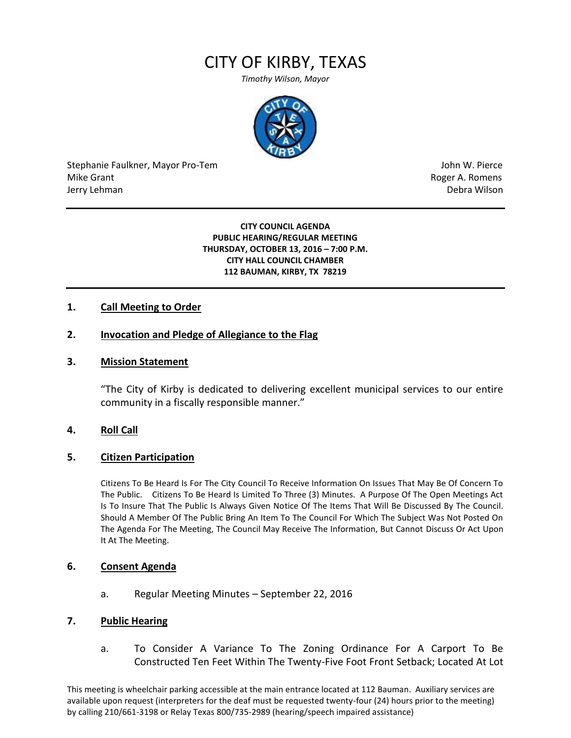# CITY OF KIRBY, TEXAS

*Timothy Wilson, Mayor*



Stephanie Faulkner, Mayor Pro-Tem John W. Pierce Mike Grant **Mike Grant** Roger A. Romens and Allen Roger A. Romens and Allen Roger A. Romens and Allen Roger A. Romens and Allen Roger A. Romens and Allen Roger A. Romens and Allen Roger A. Romens and Allen Roger A. Romens Jerry Lehman Debra Wilson (2008) and the state of the state of the state of the state of the state of the state of the state of the state of the state of the state of the state of the state of the state of the state of the

#### **CITY COUNCIL AGENDA PUBLIC HEARING/REGULAR MEETING THURSDAY, OCTOBER 13, 2016 – 7:00 P.M. CITY HALL COUNCIL CHAMBER 112 BAUMAN, KIRBY, TX 78219**

# **1. Call Meeting to Order**

## **2. Invocation and Pledge of Allegiance to the Flag**

### **3. Mission Statement**

"The City of Kirby is dedicated to delivering excellent municipal services to our entire community in a fiscally responsible manner."

### **4. Roll Call**

#### **5. Citizen Participation**

Citizens To Be Heard Is For The City Council To Receive Information On Issues That May Be Of Concern To The Public. Citizens To Be Heard Is Limited To Three (3) Minutes. A Purpose Of The Open Meetings Act Is To Insure That The Public Is Always Given Notice Of The Items That Will Be Discussed By The Council. Should A Member Of The Public Bring An Item To The Council For Which The Subject Was Not Posted On The Agenda For The Meeting, The Council May Receive The Information, But Cannot Discuss Or Act Upon It At The Meeting.

### **6. Consent Agenda**

a. Regular Meeting Minutes – September 22, 2016

#### **7. Public Hearing**

a. To Consider A Variance To The Zoning Ordinance For A Carport To Be Constructed Ten Feet Within The Twenty-Five Foot Front Setback; Located At Lot

This meeting is wheelchair parking accessible at the main entrance located at 112 Bauman. Auxiliary services are available upon request (interpreters for the deaf must be requested twenty-four (24) hours prior to the meeting) by calling 210/661-3198 or Relay Texas 800/735-2989 (hearing/speech impaired assistance)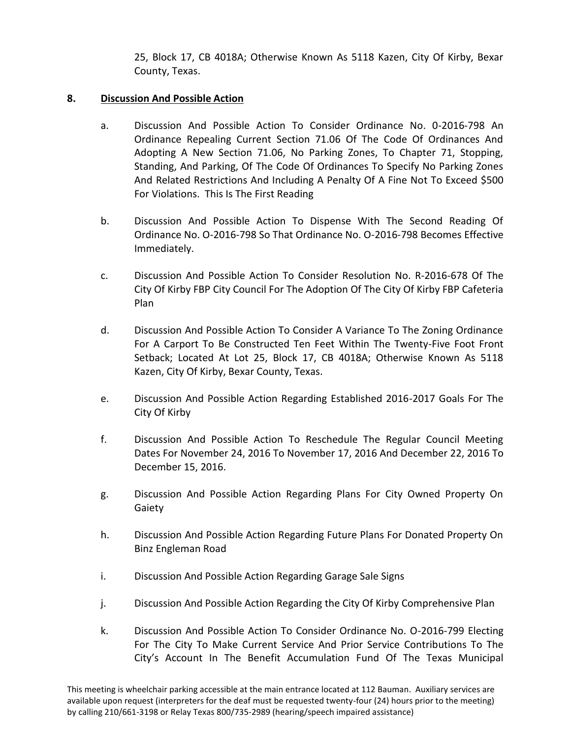25, Block 17, CB 4018A; Otherwise Known As 5118 Kazen, City Of Kirby, Bexar County, Texas.

# **8. Discussion And Possible Action**

- a. Discussion And Possible Action To Consider Ordinance No. 0-2016-798 An Ordinance Repealing Current Section 71.06 Of The Code Of Ordinances And Adopting A New Section 71.06, No Parking Zones, To Chapter 71, Stopping, Standing, And Parking, Of The Code Of Ordinances To Specify No Parking Zones And Related Restrictions And Including A Penalty Of A Fine Not To Exceed \$500 For Violations. This Is The First Reading
- b. Discussion And Possible Action To Dispense With The Second Reading Of Ordinance No. O-2016-798 So That Ordinance No. O-2016-798 Becomes Effective Immediately.
- c. Discussion And Possible Action To Consider Resolution No. R-2016-678 Of The City Of Kirby FBP City Council For The Adoption Of The City Of Kirby FBP Cafeteria Plan
- d. Discussion And Possible Action To Consider A Variance To The Zoning Ordinance For A Carport To Be Constructed Ten Feet Within The Twenty-Five Foot Front Setback; Located At Lot 25, Block 17, CB 4018A; Otherwise Known As 5118 Kazen, City Of Kirby, Bexar County, Texas.
- e. Discussion And Possible Action Regarding Established 2016-2017 Goals For The City Of Kirby
- f. Discussion And Possible Action To Reschedule The Regular Council Meeting Dates For November 24, 2016 To November 17, 2016 And December 22, 2016 To December 15, 2016.
- g. Discussion And Possible Action Regarding Plans For City Owned Property On Gaiety
- h. Discussion And Possible Action Regarding Future Plans For Donated Property On Binz Engleman Road
- i. Discussion And Possible Action Regarding Garage Sale Signs
- j. Discussion And Possible Action Regarding the City Of Kirby Comprehensive Plan
- k. Discussion And Possible Action To Consider Ordinance No. O-2016-799 Electing For The City To Make Current Service And Prior Service Contributions To The City's Account In The Benefit Accumulation Fund Of The Texas Municipal

This meeting is wheelchair parking accessible at the main entrance located at 112 Bauman. Auxiliary services are available upon request (interpreters for the deaf must be requested twenty-four (24) hours prior to the meeting) by calling 210/661-3198 or Relay Texas 800/735-2989 (hearing/speech impaired assistance)